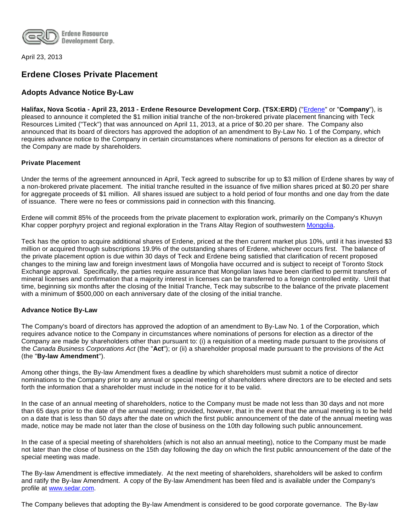

April 23, 2013

# **Erdene Closes Private Placement**

## **Adopts Advance Notice By-Law**

**Halifax, Nova Scotia - April 23, 2013 - Erdene Resource Development Corp. (TSX:ERD)** (["Erdene](http://www.erdene.com/)" or "**Company**"), is pleased to announce it completed the \$1 million initial tranche of the non-brokered private placement financing with Teck Resources Limited ("Teck") that was announced on April 11, 2013, at a price of \$0.20 per share. The Company also announced that its board of directors has approved the adoption of an amendment to By-Law No. 1 of the Company, which requires advance notice to the Company in certain circumstances where nominations of persons for election as a director of the Company are made by shareholders.

### **Private Placement**

Under the terms of the agreement announced in April, Teck agreed to subscribe for up to \$3 million of Erdene shares by way of a non-brokered private placement. The initial tranche resulted in the issuance of five million shares priced at \$0.20 per share for aggregate proceeds of \$1 million. All shares issued are subject to a hold period of four months and one day from the date of issuance. There were no fees or commissions paid in connection with this financing.

Erdene will commit 85% of the proceeds from the private placement to exploration work, primarily on the Company's Khuvyn Khar copper porphyry project and regional exploration in the Trans Altay Region of southwestern [Mongolia.](http://www.erdene.com/)

Teck has the option to acquire additional shares of Erdene, priced at the then current market plus 10%, until it has invested \$3 million or acquired through subscriptions 19.9% of the outstanding shares of Erdene, whichever occurs first. The balance of the private placement option is due within 30 days of Teck and Erdene being satisfied that clarification of recent proposed changes to the mining law and foreign investment laws of Mongolia have occurred and is subject to receipt of Toronto Stock Exchange approval. Specifically, the parties require assurance that Mongolian laws have been clarified to permit transfers of mineral licenses and confirmation that a majority interest in licenses can be transferred to a foreign controlled entity. Until that time, beginning six months after the closing of the Initial Tranche, Teck may subscribe to the balance of the private placement with a minimum of \$500,000 on each anniversary date of the closing of the initial tranche.

### **Advance Notice By-Law**

The Company's board of directors has approved the adoption of an amendment to By-Law No. 1 of the Corporation, which requires advance notice to the Company in circumstances where nominations of persons for election as a director of the Company are made by shareholders other than pursuant to: (i) a requisition of a meeting made pursuant to the provisions of the Canada Business Corporations Act (the "**Act**"); or (ii) a shareholder proposal made pursuant to the provisions of the Act (the "**By-law Amendment**").

Among other things, the By-law Amendment fixes a deadline by which shareholders must submit a notice of director nominations to the Company prior to any annual or special meeting of shareholders where directors are to be elected and sets forth the information that a shareholder must include in the notice for it to be valid.

In the case of an annual meeting of shareholders, notice to the Company must be made not less than 30 days and not more than 65 days prior to the date of the annual meeting; provided, however, that in the event that the annual meeting is to be held on a date that is less than 50 days after the date on which the first public announcement of the date of the annual meeting was made, notice may be made not later than the close of business on the 10th day following such public announcement.

In the case of a special meeting of shareholders (which is not also an annual meeting), notice to the Company must be made not later than the close of business on the 15th day following the day on which the first public announcement of the date of the special meeting was made.

The By-law Amendment is effective immediately. At the next meeting of shareholders, shareholders will be asked to confirm and ratify the By-law Amendment. A copy of the By-law Amendment has been filed and is available under the Company's profile at [www.sedar.com](http://www.sedar.com/).

The Company believes that adopting the By-law Amendment is considered to be good corporate governance. The By-law